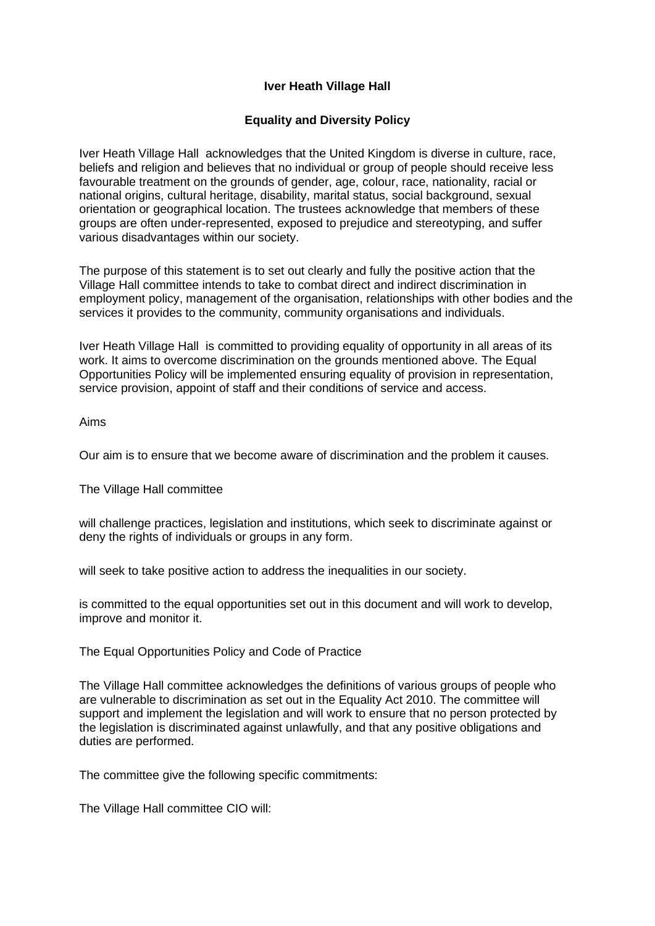## **Iver Heath Village Hall**

## **Equality and Diversity Policy**

Iver Heath Village Hall acknowledges that the United Kingdom is diverse in culture, race, beliefs and religion and believes that no individual or group of people should receive less favourable treatment on the grounds of gender, age, colour, race, nationality, racial or national origins, cultural heritage, disability, marital status, social background, sexual orientation or geographical location. The trustees acknowledge that members of these groups are often under-represented, exposed to prejudice and stereotyping, and suffer various disadvantages within our society.

The purpose of this statement is to set out clearly and fully the positive action that the Village Hall committee intends to take to combat direct and indirect discrimination in employment policy, management of the organisation, relationships with other bodies and the services it provides to the community, community organisations and individuals.

Iver Heath Village Hall is committed to providing equality of opportunity in all areas of its work. It aims to overcome discrimination on the grounds mentioned above. The Equal Opportunities Policy will be implemented ensuring equality of provision in representation, service provision, appoint of staff and their conditions of service and access.

Aims

Our aim is to ensure that we become aware of discrimination and the problem it causes.

The Village Hall committee

will challenge practices, legislation and institutions, which seek to discriminate against or deny the rights of individuals or groups in any form.

will seek to take positive action to address the inequalities in our society.

is committed to the equal opportunities set out in this document and will work to develop, improve and monitor it.

The Equal Opportunities Policy and Code of Practice

The Village Hall committee acknowledges the definitions of various groups of people who are vulnerable to discrimination as set out in the Equality Act 2010. The committee will support and implement the legislation and will work to ensure that no person protected by the legislation is discriminated against unlawfully, and that any positive obligations and duties are performed.

The committee give the following specific commitments:

The Village Hall committee CIO will: